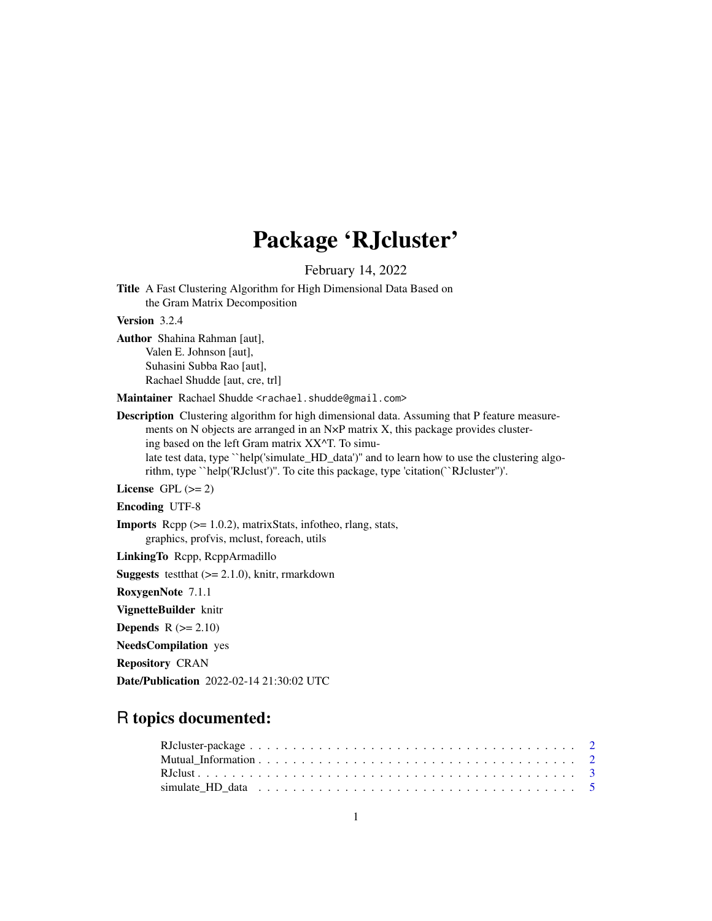## Package 'RJcluster'

February 14, 2022

Title A Fast Clustering Algorithm for High Dimensional Data Based on the Gram Matrix Decomposition

Version 3.2.4

Author Shahina Rahman [aut], Valen E. Johnson [aut], Suhasini Subba Rao [aut], Rachael Shudde [aut, cre, trl]

Maintainer Rachael Shudde <rachael.shudde@gmail.com>

Description Clustering algorithm for high dimensional data. Assuming that P feature measurements on N objects are arranged in an N×P matrix X, this package provides clustering based on the left Gram matrix XX^T. To simulate test data, type ``help('simulate\_HD\_data')" and to learn how to use the clustering algorithm, type ``help('RJclust')''. To cite this package, type 'citation(``RJcluster'')'.

License GPL  $(>= 2)$ 

Encoding UTF-8

Imports Rcpp (>= 1.0.2), matrixStats, infotheo, rlang, stats, graphics, profvis, mclust, foreach, utils

LinkingTo Rcpp, RcppArmadillo

**Suggests** testthat  $(>= 2.1.0)$ , knitr, rmarkdown

RoxygenNote 7.1.1

VignetteBuilder knitr

Depends  $R (= 2.10)$ 

NeedsCompilation yes

Repository CRAN

Date/Publication 2022-02-14 21:30:02 UTC

### R topics documented: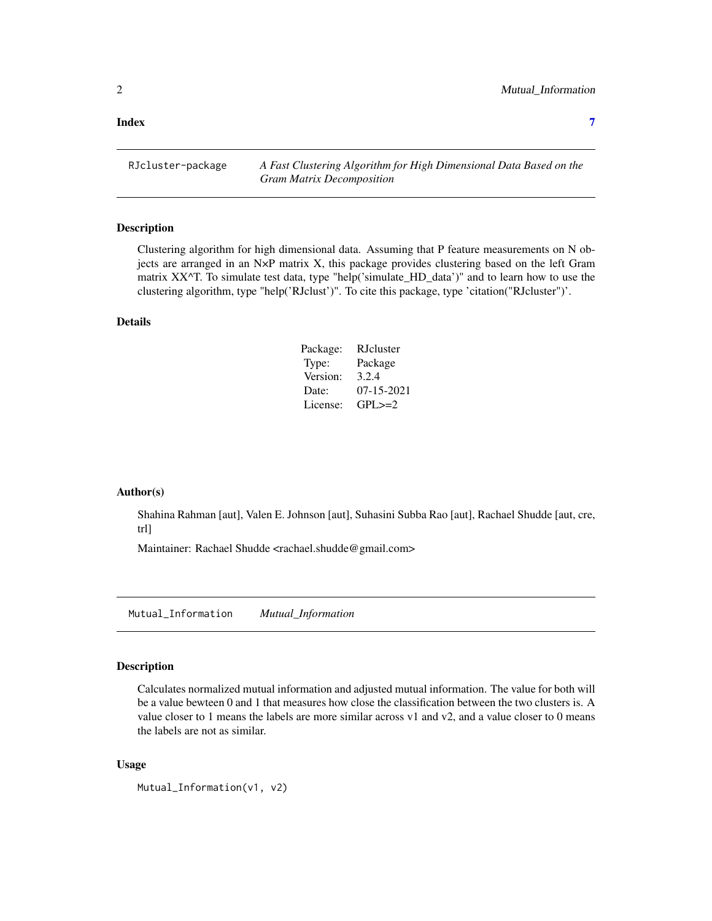#### <span id="page-1-0"></span>**Index** [7](#page-6-0) **7**

RJcluster-package *A Fast Clustering Algorithm for High Dimensional Data Based on the Gram Matrix Decomposition*

#### Description

Clustering algorithm for high dimensional data. Assuming that P feature measurements on N objects are arranged in an N×P matrix X, this package provides clustering based on the left Gram matrix XX^T. To simulate test data, type "help('simulate\_HD\_data')" and to learn how to use the clustering algorithm, type "help('RJclust')". To cite this package, type 'citation("RJcluster")'.

#### Details

| Package: | RJcluster        |
|----------|------------------|
| Type:    | Package          |
| Version: | 3.2.4            |
| Date:    | $07 - 15 - 2021$ |
| License: | $GPI \geq 2$     |

#### Author(s)

Shahina Rahman [aut], Valen E. Johnson [aut], Suhasini Subba Rao [aut], Rachael Shudde [aut, cre, trl]

Maintainer: Rachael Shudde <rachael.shudde@gmail.com>

Mutual\_Information *Mutual\_Information*

#### Description

Calculates normalized mutual information and adjusted mutual information. The value for both will be a value bewteen 0 and 1 that measures how close the classification between the two clusters is. A value closer to 1 means the labels are more similar across v1 and v2, and a value closer to 0 means the labels are not as similar.

#### Usage

```
Mutual_Information(v1, v2)
```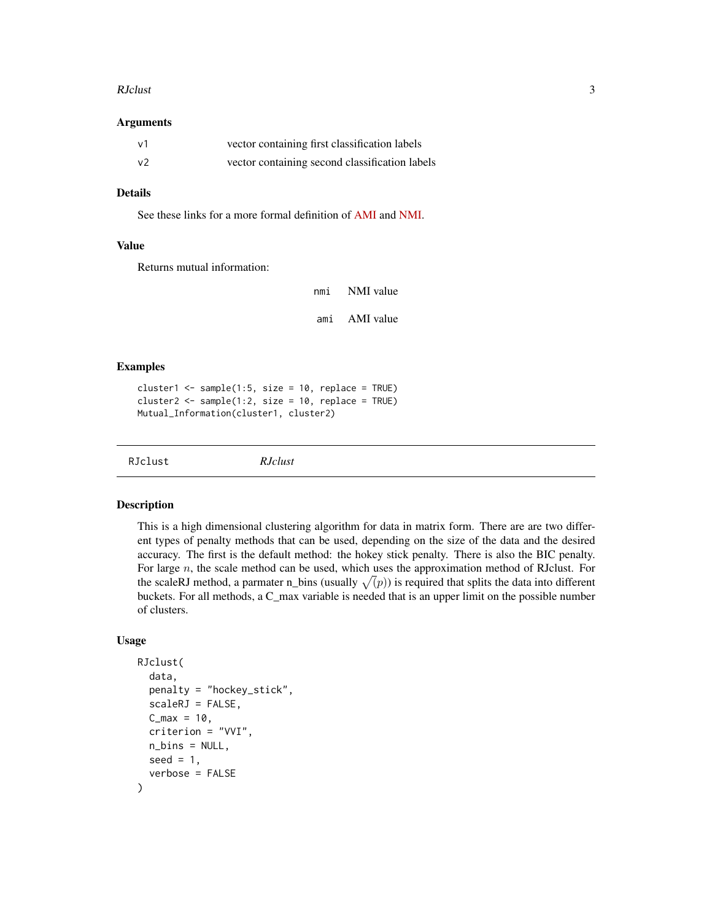#### <span id="page-2-0"></span>RJclust 3

#### Arguments

| $\vee$ 1 | vector containing first classification labels  |
|----------|------------------------------------------------|
| $\vee$   | vector containing second classification labels |

#### Details

See these links for a more formal definition of [AMI](https://en.wikipedia.org/wiki/Adjusted_mutual_information) and [NMI.](https://en.wikipedia.org/wiki/Mutual_information)

#### Value

Returns mutual information:

| nmi | NMI value |
|-----|-----------|
| ami | AMI value |

#### Examples

cluster1 <- sample(1:5, size = 10, replace = TRUE) cluster2 <- sample(1:2, size = 10, replace = TRUE) Mutual\_Information(cluster1, cluster2)

RJclust *RJclust*

#### **Description**

This is a high dimensional clustering algorithm for data in matrix form. There are are two different types of penalty methods that can be used, depending on the size of the data and the desired accuracy. The first is the default method: the hokey stick penalty. There is also the BIC penalty. For large n, the scale method can be used, which uses the approximation method of RJclust. For the scaleRJ method, a parmater n\_bins (usually  $\sqrt(p)$ ) is required that splits the data into different buckets. For all methods, a C\_max variable is needed that is an upper limit on the possible number of clusters.

#### Usage

```
RJclust(
  data,
  penalty = "hockey_stick",
  scaleRJ = FALSE,
  C_{max} = 10,
  criterion = "VVI",
  n_bins = NULL,
  seed = 1,
  verbose = FALSE
)
```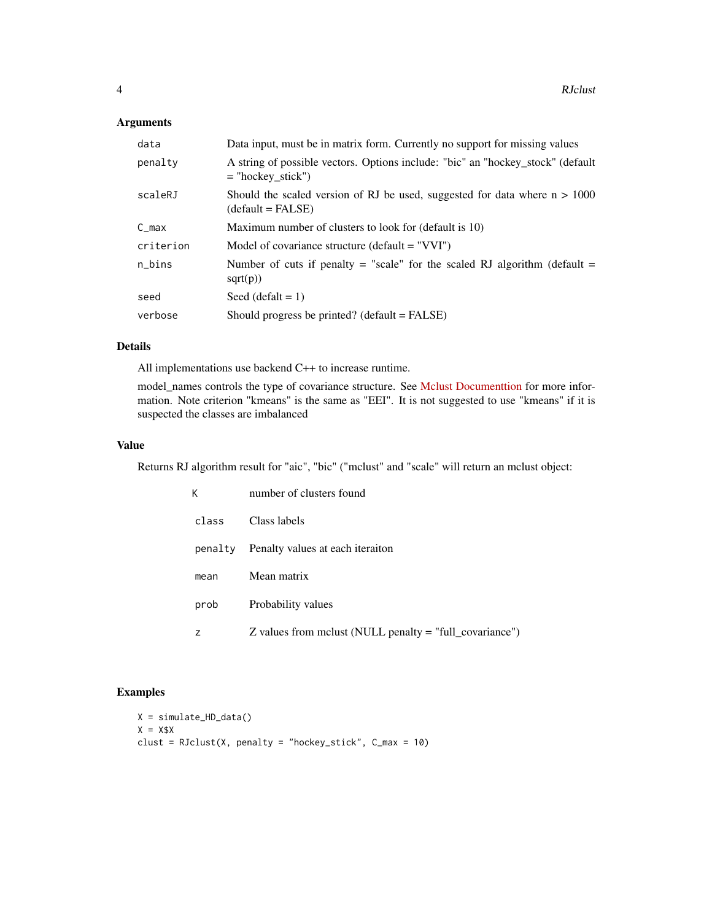#### Arguments

| data      | Data input, must be in matrix form. Currently no support for missing values                            |
|-----------|--------------------------------------------------------------------------------------------------------|
| penalty   | A string of possible vectors. Options include: "bic" an "hockey_stock" (default<br>$=$ "hockey stick") |
| scaleRJ   | Should the scaled version of RJ be used, suggested for data where $n > 1000$<br>$(detault = FALSE)$    |
| $C_{max}$ | Maximum number of clusters to look for (default is 10)                                                 |
| criterion | Model of covariance structure (default $=$ "VVI")                                                      |
| n_bins    | Number of cuts if penalty = "scale" for the scaled RJ algorithm (default =<br>sqrt(p))                 |
| seed      | Seed $(detalt = 1)$                                                                                    |
| verbose   | Should progress be printed? (default $=$ FALSE)                                                        |

#### Details

All implementations use backend C++ to increase runtime.

model\_names controls the type of covariance structure. See [Mclust Documenttion](https://www.ncbi.nlm.nih.gov/pmc/articles/PMC5096736/) for more information. Note criterion "kmeans" is the same as "EEI". It is not suggested to use "kmeans" if it is suspected the classes are imbalanced

#### Value

Returns RJ algorithm result for "aic", "bic" ("mclust" and "scale" will return an mclust object:

| Κ       | number of clusters found                                  |
|---------|-----------------------------------------------------------|
| class   | Class labels                                              |
| penalty | Penalty values at each iteraiton                          |
| mean    | Mean matrix                                               |
| prob    | Probability values                                        |
| z       | $Z$ values from mclust (NULL penalty = "full_covariance") |

#### Examples

```
X = simulate_HD_data()
X = X $Xclust = RJclust(X, penalty = "hockey_stick", C_max = 10)
```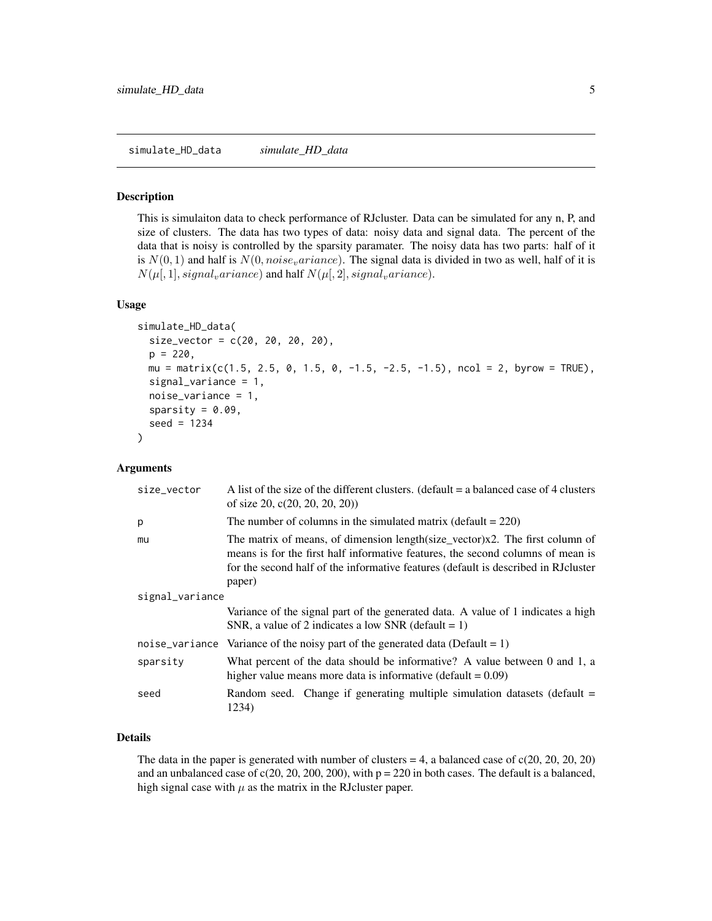#### <span id="page-4-0"></span>Description

This is simulaiton data to check performance of RJcluster. Data can be simulated for any n, P, and size of clusters. The data has two types of data: noisy data and signal data. The percent of the data that is noisy is controlled by the sparsity paramater. The noisy data has two parts: half of it is  $N(0, 1)$  and half is  $N(0, noise<sub>v</sub>ariance)$ . The signal data is divided in two as well, half of it is  $N(\mu[, 1], signal_variance)$  and half  $N(\mu[, 2], signal_variance)$ .

#### Usage

```
simulate_HD_data(
  size\_vector = c(20, 20, 20, 20),
  p = 220,
 mu = matrix(c(1.5, 2.5, 0, 1.5, 0, -1.5, -2.5, -1.5), ncol = 2, byrow = TRUE),signal_variance = 1,
  noise_variance = 1,
  sparsity = 0.09,
  seed = 1234
)
```
#### Arguments

| size_vector     | A list of the size of the different clusters. (default $=$ a balanced case of 4 clusters<br>of size 20, $c(20, 20, 20, 20)$                                                                                                                                      |
|-----------------|------------------------------------------------------------------------------------------------------------------------------------------------------------------------------------------------------------------------------------------------------------------|
| p               | The number of columns in the simulated matrix (default $= 220$ )                                                                                                                                                                                                 |
| mu              | The matrix of means, of dimension length(size_vector)x2. The first column of<br>means is for the first half informative features, the second columns of mean is<br>for the second half of the informative features (default is described in RJ cluster<br>paper) |
| signal_variance |                                                                                                                                                                                                                                                                  |
|                 | Variance of the signal part of the generated data. A value of 1 indicates a high<br>SNR, a value of 2 indicates a low SNR (default = 1)                                                                                                                          |
|                 | noise_variance Variance of the noisy part of the generated data (Default = $1$ )                                                                                                                                                                                 |
| sparsity        | What percent of the data should be informative? A value between 0 and 1, a<br>higher value means more data is informative (default $= 0.09$ )                                                                                                                    |
| seed            | Random seed. Change if generating multiple simulation datasets (default $=$<br>1234)                                                                                                                                                                             |

#### Details

The data in the paper is generated with number of clusters  $= 4$ , a balanced case of  $c(20, 20, 20, 20)$ and an unbalanced case of  $c(20, 20, 200, 200)$ , with  $p = 220$  in both cases. The default is a balanced, high signal case with  $\mu$  as the matrix in the RJ cluster paper.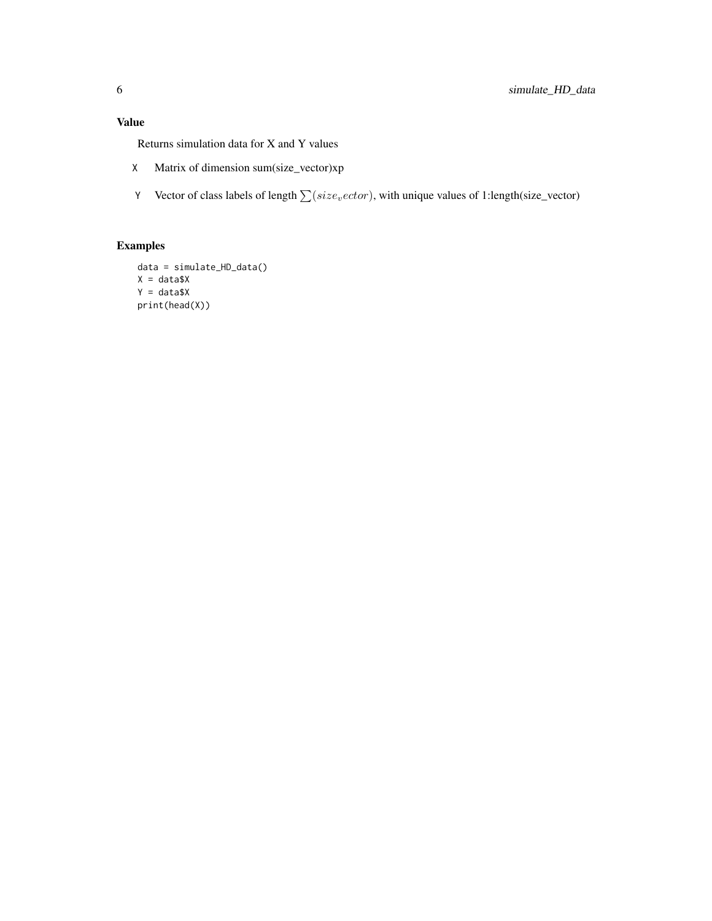#### Value

Returns simulation data for X and Y values

- X Matrix of dimension sum(size\_vector)xp
- Y Vector of class labels of length  $\sum (size_vector)$ , with unique values of 1:length(size\_vector)

#### Examples

```
data = simulate_HD_data()
X = data $XY = data $Xprint(head(X))
```